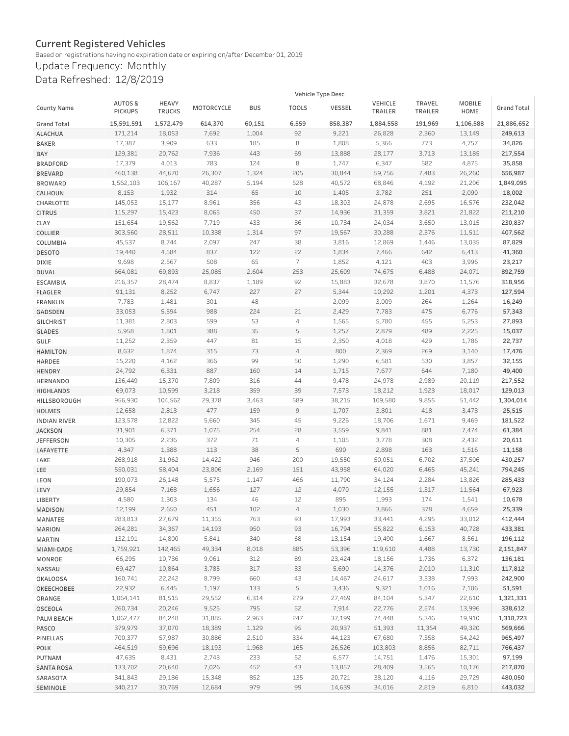## **Current Registered Vehicles**

Based on registrations having no expiration date or expiring on/after December 01, 2019

Update Frequency: Monthly Data Refreshed: 12/8/2019

|                     | Vehicle Type Desc                   |                               |            |            |                                                                                                                                                                                                                                                                                                                                                                                                                                                          |               |                    |                          |                |             |
|---------------------|-------------------------------------|-------------------------------|------------|------------|----------------------------------------------------------------------------------------------------------------------------------------------------------------------------------------------------------------------------------------------------------------------------------------------------------------------------------------------------------------------------------------------------------------------------------------------------------|---------------|--------------------|--------------------------|----------------|-------------|
| <b>County Name</b>  | <b>AUTOS&amp;</b><br><b>PICKUPS</b> | <b>HEAVY</b><br><b>TRUCKS</b> | MOTORCYCLE | <b>BUS</b> | <b>TOOLS</b>                                                                                                                                                                                                                                                                                                                                                                                                                                             | <b>VESSEL</b> | VEHICLE<br>TRAILER | <b>TRAVEL</b><br>TRAILER | MOBILE<br>HOME | Grand Total |
| <b>Grand Total</b>  | 15,591,591                          | 1,572,479                     | 614,370    | 60,151     | 6,559                                                                                                                                                                                                                                                                                                                                                                                                                                                    | 858,387       | 1,884,558          | 191,969                  | 1,106,588      | 21,886,652  |
| <b>ALACHUA</b>      | 171,214                             | 18,053                        | 7,692      | 1,004      | 92                                                                                                                                                                                                                                                                                                                                                                                                                                                       | 9,221         | 26,828             | 2,360                    | 13,149         | 249,613     |
| <b>BAKER</b>        | 17,387                              | 3,909                         | 633        | 185        | 8                                                                                                                                                                                                                                                                                                                                                                                                                                                        | 1,808         | 5,366              | 773                      | 4,757          | 34,826      |
| BAY                 | 129,381                             | 20,762                        | 7,936      | 443        | 69                                                                                                                                                                                                                                                                                                                                                                                                                                                       | 13,888        | 28,177             | 3,713                    | 13,185         | 217,554     |
| <b>BRADFORD</b>     | 17,379                              | 4,013                         | 783        | 124        | 8                                                                                                                                                                                                                                                                                                                                                                                                                                                        | 1,747         | 6,347              | 582                      | 4,875          | 35,858      |
| <b>BREVARD</b>      | 460,138                             | 44,670                        | 26,307     | 1,324      | 205                                                                                                                                                                                                                                                                                                                                                                                                                                                      | 30,844        | 59,756             | 7,483                    | 26,260         | 656,987     |
| <b>BROWARD</b>      | 1,562,103                           | 106,167                       | 40,287     | 5,194      | 528                                                                                                                                                                                                                                                                                                                                                                                                                                                      | 40,572        | 68,846             | 4,192                    | 21,206         | 1,849,095   |
| CALHOUN             | 8,153                               | 1,932                         | 314        | 65         | 10                                                                                                                                                                                                                                                                                                                                                                                                                                                       | 1,405         | 3,782              | 251                      | 2,090          | 18,002      |
| CHARLOTTE           | 145,053                             | 15,177                        | 8,961      | 356        | 43                                                                                                                                                                                                                                                                                                                                                                                                                                                       | 18,303        | 24,878             | 2,695                    | 16,576         | 232,042     |
| <b>CITRUS</b>       | 115,297                             | 15,423                        | 8,065      | 450        | 37                                                                                                                                                                                                                                                                                                                                                                                                                                                       | 14,936        | 31,359             | 3,821                    | 21,822         | 211,210     |
| CLAY                | 151,654                             | 19,562                        | 7,719      | 433        | 36                                                                                                                                                                                                                                                                                                                                                                                                                                                       | 10,734        | 24,034             | 3,650                    | 13,015         | 230,837     |
| COLLIER             | 303,560                             | 28,511                        | 10,338     | 1,314      | 97                                                                                                                                                                                                                                                                                                                                                                                                                                                       | 19,567        | 30,288             | 2,376                    | 11,511         | 407,562     |
| COLUMBIA            | 45,537                              | 8,744                         | 2,097      | 247        | 38                                                                                                                                                                                                                                                                                                                                                                                                                                                       | 3,816         | 12,869             | 1,446                    | 13,035         | 87,829      |
| <b>DESOTO</b>       | 19,440                              | 4,584                         | 837        | 122        | 22                                                                                                                                                                                                                                                                                                                                                                                                                                                       | 1,834         | 7,466              | 642                      | 6,413          | 41,360      |
| <b>DIXIE</b>        | 9,698                               | 2,567                         | 508        | 65         | $\overline{7}$                                                                                                                                                                                                                                                                                                                                                                                                                                           | 1,852         | 4,121              | 403                      | 3,996          | 23,217      |
| <b>DUVAL</b>        | 664,081                             | 69,893                        | 25,085     | 2,604      | 253                                                                                                                                                                                                                                                                                                                                                                                                                                                      | 25,609        | 74,675             | 6,488                    | 24,071         | 892,759     |
| <b>ESCAMBIA</b>     | 216,357                             | 28,474                        | 8,837      | 1,189      | 92                                                                                                                                                                                                                                                                                                                                                                                                                                                       | 15,883        | 32,678             | 3,870                    | 11,576         | 318,956     |
| <b>FLAGLER</b>      | 91,131                              | 8,252                         | 6,747      | 227        | 27                                                                                                                                                                                                                                                                                                                                                                                                                                                       | 5,344         | 10,292             | 1,201                    | 4,373          | 127,594     |
| <b>FRANKLIN</b>     | 7,783                               | 1,481                         | 301        | 48         |                                                                                                                                                                                                                                                                                                                                                                                                                                                          | 2,099         | 3,009              | 264                      | 1,264          | 16,249      |
| GADSDEN             | 33,053                              | 5,594                         | 988        | 224        | 21                                                                                                                                                                                                                                                                                                                                                                                                                                                       | 2,429         | 7,783              | 475                      | 6,776          | 57,343      |
| <b>GILCHRIST</b>    | 11,381                              | 2,803                         | 599        | 53         | $\overline{4}$                                                                                                                                                                                                                                                                                                                                                                                                                                           | 1,565         | 5,780              | 455                      | 5,253          | 27,893      |
| <b>GLADES</b>       | 5,958                               | 1,801                         | 388        | 35         | 5                                                                                                                                                                                                                                                                                                                                                                                                                                                        | 1,257         | 2,879              | 489                      | 2,225          | 15,037      |
| GULF                | 11,252                              | 2,359                         | 447        | 81         | 15                                                                                                                                                                                                                                                                                                                                                                                                                                                       | 2,350         | 4,018              | 429                      | 1,786          | 22,737      |
| <b>HAMILTON</b>     | 8,632                               | 1,874                         | 315        | 73         | $\sqrt{4}$                                                                                                                                                                                                                                                                                                                                                                                                                                               | 800           | 2,369              | 269                      | 3,140          | 17,476      |
| <b>HARDEE</b>       | 15,220                              | 4,162                         | 366        | 99         | 50                                                                                                                                                                                                                                                                                                                                                                                                                                                       | 1,290         | 6,581              | 530                      | 3,857          | 32,155      |
| <b>HENDRY</b>       | 24,792                              | 6,331                         | 887        | 160        | 14                                                                                                                                                                                                                                                                                                                                                                                                                                                       | 1,715         | 7,677              | 644                      | 7,180          | 49,400      |
| <b>HERNANDO</b>     | 136,449                             | 15,370                        | 7,809      | 316        | 44                                                                                                                                                                                                                                                                                                                                                                                                                                                       | 9,478         | 24,978             | 2,989                    | 20,119         | 217,552     |
| <b>HIGHLANDS</b>    | 69,073                              | 10,599                        | 3,218      | 359        | 39                                                                                                                                                                                                                                                                                                                                                                                                                                                       | 7,573         | 18,212             | 1,923                    | 18,017         | 129,013     |
| HILLSBOROUGH        | 956,930                             | 104,562                       | 29,378     | 3,463      | 589                                                                                                                                                                                                                                                                                                                                                                                                                                                      | 38,215        | 109,580            | 9,855                    | 51,442         | 1,304,014   |
| <b>HOLMES</b>       | 12,658                              | 2,813                         | 477        | 159        | $\mathsf{S}% _{T}=\mathsf{S}_{T}\!\left( a,b\right) ,\ \mathsf{S}_{T}=\mathsf{S}_{T}\!\left( a,b\right) ,\ \mathsf{S}_{T}=\mathsf{S}_{T}\!\left( a,b\right) ,\ \mathsf{S}_{T}=\mathsf{S}_{T}\!\left( a,b\right) ,\ \mathsf{S}_{T}=\mathsf{S}_{T}\!\left( a,b\right) ,\ \mathsf{S}_{T}=\mathsf{S}_{T}\!\left( a,b\right) ,\ \mathsf{S}_{T}=\mathsf{S}_{T}\!\left( a,b\right) ,\ \mathsf{S}_{T}=\mathsf{S}_{T}\!\left( a,b\right) ,\ \mathsf{S}_{T}=\math$ | 1,707         | 3,801              | 418                      | 3,473          | 25,515      |
| <b>INDIAN RIVER</b> | 123,578                             | 12,822                        | 5,660      | 345        | 45                                                                                                                                                                                                                                                                                                                                                                                                                                                       | 9,226         | 18,706             | 1,671                    | 9,469          | 181,522     |
| <b>JACKSON</b>      | 31,901                              | 6,371                         | 1,075      | 254        | 28                                                                                                                                                                                                                                                                                                                                                                                                                                                       | 3,559         | 9,841              | 881                      | 7,474          | 61,384      |
| <b>JEFFERSON</b>    | 10,305                              | 2,236                         | 372        | 71         | $\sqrt{4}$                                                                                                                                                                                                                                                                                                                                                                                                                                               | 1,105         | 3,778              | 308                      | 2,432          | 20,611      |
| LAFAYETTE           | 4,347                               | 1,388                         | 113        | 38         | 5                                                                                                                                                                                                                                                                                                                                                                                                                                                        | 690           | 2,898              | 163                      | 1,516          | 11,158      |
| LAKE                | 268,918                             | 31,962                        | 14,422     | 946        | 200                                                                                                                                                                                                                                                                                                                                                                                                                                                      | 19,550        | 50,051             | 6,702                    | 37,506         | 430,257     |
| LEE                 | 550,031                             | 58,404                        | 23,806     | 2,169      | 151                                                                                                                                                                                                                                                                                                                                                                                                                                                      | 43,958        | 64,020             | 6,465                    | 45,241         | 794,245     |
| <b>LEON</b>         | 190,073                             | 26,148                        | 5,575      | 1,147      | 466                                                                                                                                                                                                                                                                                                                                                                                                                                                      | 11,790        | 34,124             | 2,284                    | 13,826         | 285,433     |
| LEVY                | 29,854                              | 7,168                         | 1,656      | 127        | 12                                                                                                                                                                                                                                                                                                                                                                                                                                                       | 4,070         | 12,155             | 1,317                    | 11,564         | 67,923      |
| LIBERTY             | 4,580                               | 1,303                         | 134        | 46         | 12                                                                                                                                                                                                                                                                                                                                                                                                                                                       | 895           | 1,993              | 174                      | 1,541          | 10,678      |
| <b>MADISON</b>      | 12,199                              | 2,650                         | 451        | 102        | $\sqrt{4}$                                                                                                                                                                                                                                                                                                                                                                                                                                               | 1,030         | 3,866              | 378                      | 4,659          | 25,339      |
| MANATEE             | 283,813                             | 27,679                        | 11,355     | 763        | 93                                                                                                                                                                                                                                                                                                                                                                                                                                                       | 17,993        | 33,441             | 4,295                    | 33,012         | 412,444     |
| <b>MARION</b>       | 264,281                             | 34,367                        | 14,193     | 950        | 93                                                                                                                                                                                                                                                                                                                                                                                                                                                       | 16,794        | 55,822             | 6,153                    | 40,728         | 433,381     |
| <b>MARTIN</b>       | 132,191                             | 14,800                        | 5,841      | 340        | 68                                                                                                                                                                                                                                                                                                                                                                                                                                                       | 13,154        | 19,490             | 1,667                    | 8,561          | 196,112     |
| MIAMI-DADE          | 1,759,921                           | 142,465                       | 49,334     | 8,018      | 885                                                                                                                                                                                                                                                                                                                                                                                                                                                      | 53,396        | 119,610            | 4,488                    | 13,730         | 2,151,847   |
| MONROE              | 66,295                              | 10,736                        | 9,061      | 312        | 89                                                                                                                                                                                                                                                                                                                                                                                                                                                       | 23,424        | 18,156             | 1,736                    | 6,372          | 136,181     |
| NASSAU              | 69,427                              | 10,864                        | 3,785      | 317        | 33                                                                                                                                                                                                                                                                                                                                                                                                                                                       | 5,690         | 14,376             | 2,010                    | 11,310         | 117,812     |
| <b>OKALOOSA</b>     | 160,741                             | 22,242                        | 8,799      | 660        | 43                                                                                                                                                                                                                                                                                                                                                                                                                                                       | 14,467        | 24,617             | 3,338                    | 7,993          | 242,900     |
| OKEECHOBEE          | 22,932                              | 6,445                         | 1,197      | 133        | $\mathsf S$                                                                                                                                                                                                                                                                                                                                                                                                                                              | 3,436         | 9,321              | 1,016                    | 7,106          | 51,591      |
| ORANGE              | 1,064,141                           | 81,515                        | 29,552     | 6,314      | 279                                                                                                                                                                                                                                                                                                                                                                                                                                                      | 27,469        | 84,104             | 5,347                    | 22,610         | 1,321,331   |
| OSCEOLA             | 260,734                             | 20,246                        | 9,525      | 795        | 52                                                                                                                                                                                                                                                                                                                                                                                                                                                       | 7,914         | 22,776             | 2,574                    | 13,996         | 338,612     |
| PALM BEACH          | 1,062,477                           | 84,248                        | 31,885     | 2,963      | 247                                                                                                                                                                                                                                                                                                                                                                                                                                                      | 37,199        | 74,448             | 5,346                    | 19,910         | 1,318,723   |
| PASCO               | 379,979                             | 37,070                        | 18,389     | 1,129      | 95                                                                                                                                                                                                                                                                                                                                                                                                                                                       | 20,937        | 51,393             | 11,354                   | 49,320         | 569,666     |
| PINELLAS            | 700,377                             | 57,987                        | 30,886     | 2,510      | 334                                                                                                                                                                                                                                                                                                                                                                                                                                                      | 44,123        | 67,680             | 7,358                    | 54,242         | 965,497     |
| <b>POLK</b>         | 464,519                             | 59,696                        | 18,193     | 1,968      | 165                                                                                                                                                                                                                                                                                                                                                                                                                                                      | 26,526        | 103,803            | 8,856                    | 82,711         | 766,437     |
| PUTNAM              | 47,635                              | 8,431                         | 2,743      | 233        | 52                                                                                                                                                                                                                                                                                                                                                                                                                                                       | 6,577         | 14,751             | 1,476                    | 15,301         | 97,199      |
| <b>SANTA ROSA</b>   | 133,702                             | 20,640                        | 7,026      | 452        | 43                                                                                                                                                                                                                                                                                                                                                                                                                                                       | 13,857        | 28,409             | 3,565                    | 10,176         | 217,870     |
| SARASOTA            | 341,843                             | 29,186                        | 15,348     | 852        | 135                                                                                                                                                                                                                                                                                                                                                                                                                                                      | 20,721        | 38,120             | 4,116                    | 29,729         | 480,050     |
| SEMINOLE            | 340,217                             | 30,769                        | 12,684     | 979        | 99                                                                                                                                                                                                                                                                                                                                                                                                                                                       | 14,639        | 34,016             | 2,819                    | 6,810          | 443,032     |